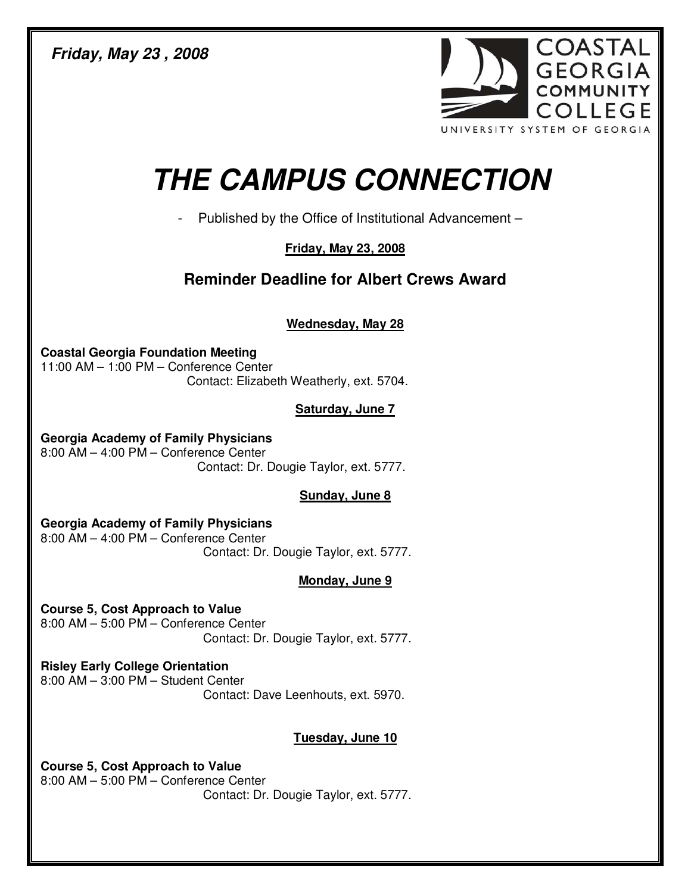**Friday, May 23 , 2008** 



# **THE CAMPUS CONNECTION**

- Published by the Office of Institutional Advancement –

## **Friday, May 23, 2008**

## **Reminder Deadline for Albert Crews Award**

**Wednesday, May 28**

**Coastal Georgia Foundation Meeting**  11:00 AM – 1:00 PM – Conference Center Contact: Elizabeth Weatherly, ext. 5704.

## **Saturday, June 7**

**Georgia Academy of Family Physicians**  8:00 AM – 4:00 PM – Conference Center Contact: Dr. Dougie Taylor, ext. 5777.

### **Sunday, June 8**

**Georgia Academy of Family Physicians**  8:00 AM – 4:00 PM – Conference Center Contact: Dr. Dougie Taylor, ext. 5777.

## **Monday, June 9**

**Course 5, Cost Approach to Value**  8:00 AM – 5:00 PM – Conference Center Contact: Dr. Dougie Taylor, ext. 5777.

**Risley Early College Orientation**  8:00 AM – 3:00 PM – Student Center Contact: Dave Leenhouts, ext. 5970.

## **Tuesday, June 10**

**Course 5, Cost Approach to Value**  8:00 AM – 5:00 PM – Conference Center Contact: Dr. Dougie Taylor, ext. 5777.